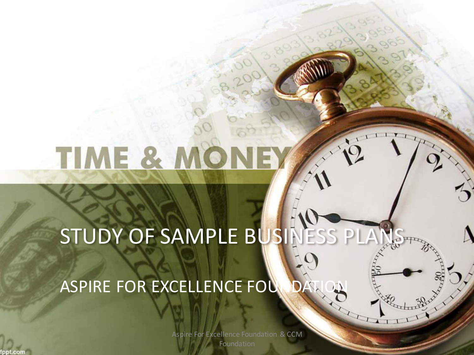# TIME & MO

STUDY OF SAMPLE BUSINESS PI

LIII

ASPIRE FOR EXCELLENCE FOU

Aspire For Excellence Foundation & CCM Foundation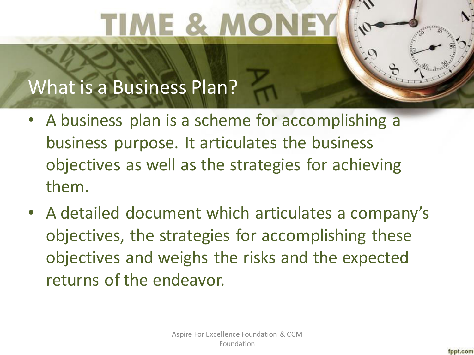# TIME & M

#### What is a Business Plan?

- A business plan is a scheme for accomplishing a business purpose. It articulates the business objectives as well as the strategies for achieving them.
- A detailed document which articulates a company's objectives, the strategies for accomplishing these objectives and weighs the risks and the expected returns of the endeavor.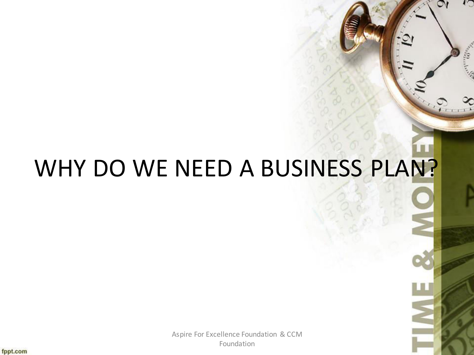### WHY DO WE NEED A BUSINESS PLAN?

is d

Aspire For Excellence Foundation & CCM Foundation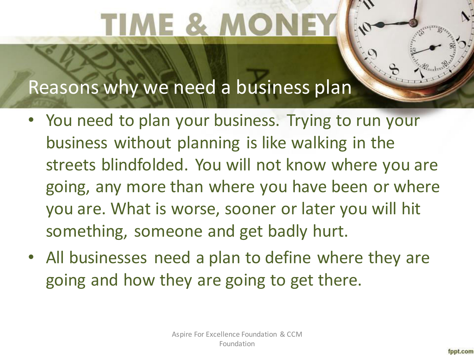# IME & MO

#### Reasons why we need a business plan

- You need to plan your business. Trying to run your business without planning is like walking in the streets blindfolded. You will not know where you are going, any more than where you have been or where you are. What is worse, sooner or later you will hit something, someone and get badly hurt.
- All businesses need a plan to define where they are going and how they are going to get there.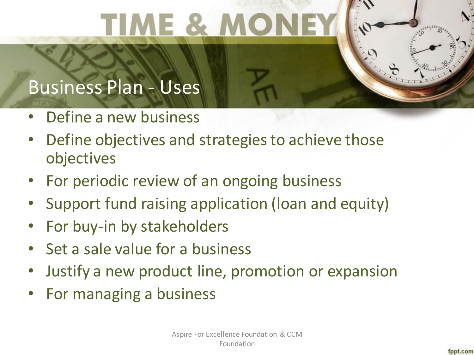# TIME & A

#### Business Plan - Uses

- Define a new business
- Define objectives and strategies to achieve those objectives
- For periodic review of an ongoing business
- Support fund raising application (loan and equity)
- For buy-in by stakeholders
- Set a sale value for a business
- Justify a new product line, promotion or expansion
- For managing a business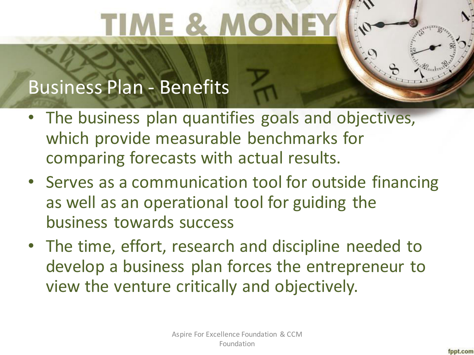# TIME & MO

#### Business Plan - Benefits

- The business plan quantifies goals and objectives, which provide measurable benchmarks for comparing forecasts with actual results.
- Serves as a communication tool for outside financing as well as an operational tool for guiding the business towards success
- The time, effort, research and discipline needed to develop a business plan forces the entrepreneur to view the venture critically and objectively.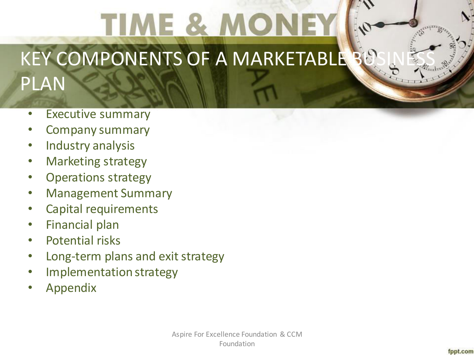### TIME & MO KEY COMPONENTS OF A MARKETABLE PLAN

- Executive summary
- Company summary
- Industry analysis
- Marketing strategy
- Operations strategy
- Management Summary
- Capital requirements
- Financial plan
- Potential risks
- Long-term plans and exit strategy
- Implementation strategy
- Appendix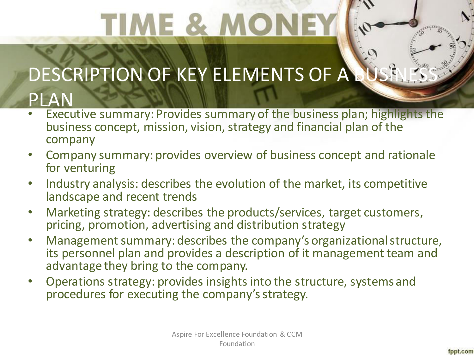# IME & M

### DESCRIPTION OF KEY ELEMENTS OF A

#### PLAN

- Executive summary: Provides summary of the business plan; highlights the business concept, mission, vision, strategy and financial plan of the company
- Company summary: provides overview of business concept and rationale for venturing
- Industry analysis: describes the evolution of the market, its competitive landscape and recent trends
- Marketing strategy: describes the products/services, target customers, pricing, promotion, advertising and distribution strategy
- Management summary: describes the company's organizational structure, its personnel plan and provides a description of it management team and advantage they bring to the company.
- Operations strategy: provides insights into the structure, systems and procedures for executing the company's strategy.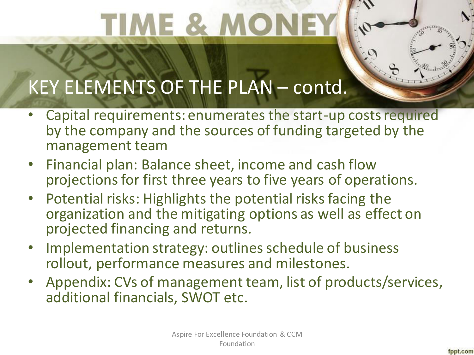# **IME & M**

#### KEY ELEMENTS OF THE PLAN – contd.

- Capital requirements: enumerates the start-up costs required by the company and the sources of funding targeted by the management team
- Financial plan: Balance sheet, income and cash flow projections for first three years to five years of operations.
- Potential risks: Highlights the potential risks facing the organization and the mitigating options as well as effect on projected financing and returns.
- Implementation strategy: outlines schedule of business rollout, performance measures and milestones.
- Appendix: CVs of management team, list of products/services, additional financials, SWOT etc.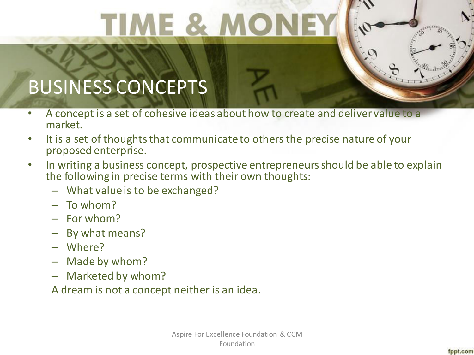TIME & MO

### BUSINESS CONCEPTS

- A concept is a set of cohesive ideas about how to create and deliver value to a market.
- It is a set of thoughts that communicate to others the precise nature of your proposed enterprise.
- In writing a business concept, prospective entrepreneurs should be able to explain the following in precise terms with their own thoughts:
	- What value is to be exchanged?
	- To whom?
	- For whom?
	- By what means?
	- Where?
	- Made by whom?
	- Marketed by whom?
	- A dream is not a concept neither is an idea.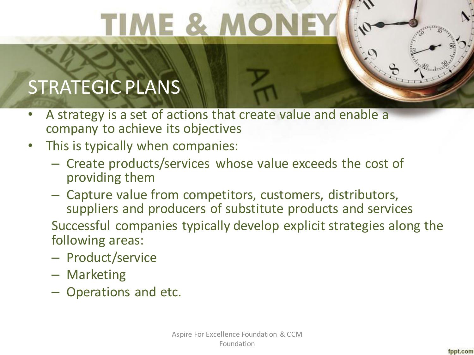TIME & M

### STRATEGIC PLANS

- A strategy is a set of actions that create value and enable a company to achieve its objectives
- This is typically when companies:
	- Create products/services whose value exceeds the cost of providing them
	- Capture value from competitors, customers, distributors, suppliers and producers of substitute products and services

Successful companies typically develop explicit strategies along the following areas:

- Product/service
- Marketing
- Operations and etc.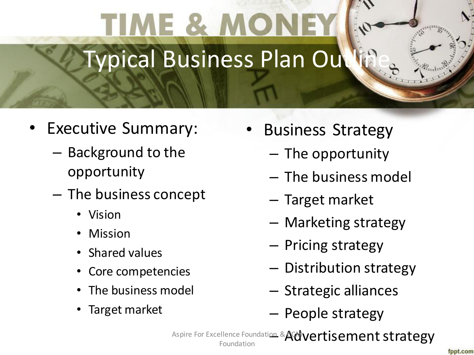### TIME & MO Typical Business Plan Out

- Executive Summary:
	- Background to the opportunity
	- The business concept
		- Vision
		- Mission
		- Shared values
		- Core competencies
		- The business model
		- Target market
- Business Strategy
	- The opportunity
	- The business model
	- Target market
	- Marketing strategy
	- Pricing strategy
	- Distribution strategy
	- Strategic alliances
	- People strategy

Aspire For Excellence Foundation & Advertisement strategy Foundation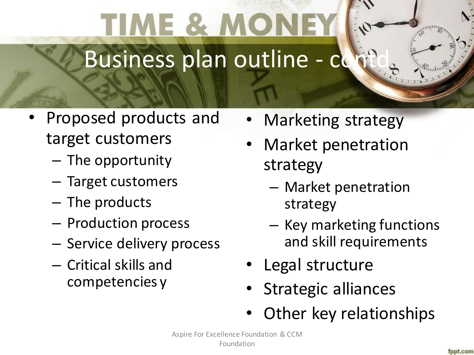### **ME & M** Business plan outline - co

- Proposed products and target customers
	- The opportunity
	- Target customers
	- The products
	- Production process
	- Service delivery process
	- Critical skills and competencies y
- Marketing strategy
- Market penetration strategy
	- Market penetration strategy
	- Key marketing functions and skill requirements
- Legal structure
- Strategic alliances
- Other key relationships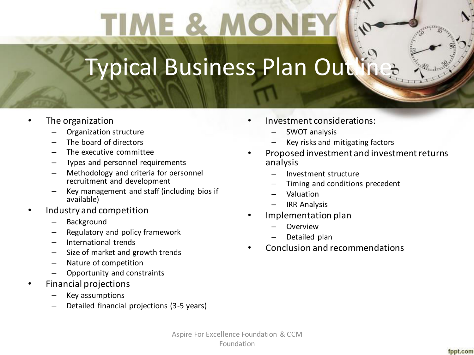# TIME & N

### Typical Business Plan Out

- The organization
	- Organization structure
	- The board of directors
	- The executive committee
	- Types and personnel requirements
	- Methodology and criteria for personnel recruitment and development
	- Key management and staff (including bios if available)
- Industry and competition
	- **Background**
	- Regulatory and policy framework
	- International trends
	- Size of market and growth trends
	- Nature of competition
	- Opportunity and constraints
- Financial projections
	- Key assumptions
	- Detailed financial projections (3-5 years)
- Investment considerations:
	- SWOT analysis
	- Key risks and mitigating factors
- Proposed investment and investment returns analysis
	- Investment structure
	- Timing and conditions precedent
	- Valuation
	- IRR Analysis
- Implementation plan
	- **Overview**
	- Detailed plan
- Conclusion and recommendations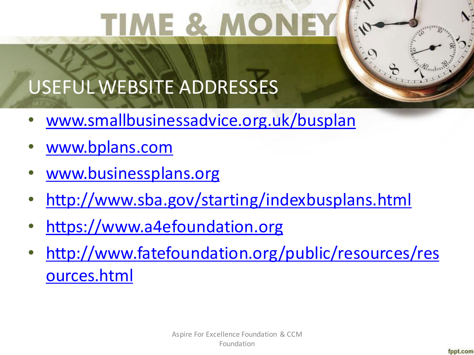# **IME & A**

#### USEFUL WEBSITE ADDRESSES

- [www.smallbusinessadvice.org.uk/busplan](http://www.smallbusinessadvice.org.uk/busplan)
- [www.bplans.com](http://www.bplans.com/)
- [www.businessplans.org](http://www.businessplans.org/)
- <http://www.sba.gov/starting/indexbusplans.html>
- [https://www.a4efoundation.org](https://www.a4efoundation.org/)
- [http://www.fatefoundation.org/public/resources/res](http://www.fatefoundation.org/public/resources/resources.html) [ources.html](http://www.fatefoundation.org/public/resources/resources.html)